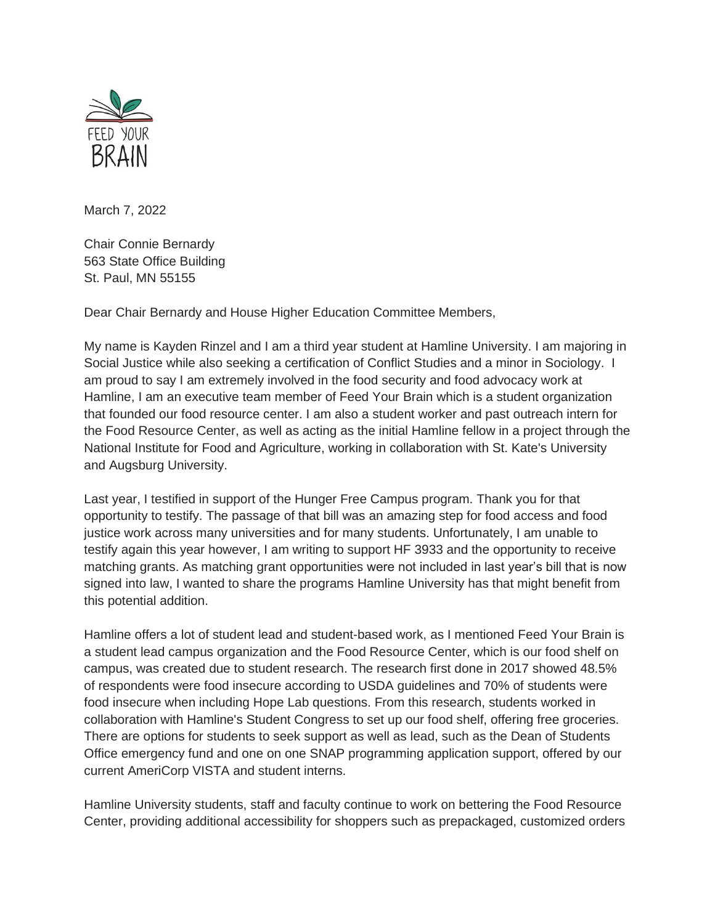

March 7, 2022

Chair Connie Bernardy 563 State Office Building St. Paul, MN 55155

Dear Chair Bernardy and House Higher Education Committee Members,

My name is Kayden Rinzel and I am a third year student at Hamline University. I am majoring in Social Justice while also seeking a certification of Conflict Studies and a minor in Sociology. I am proud to say I am extremely involved in the food security and food advocacy work at Hamline, I am an executive team member of Feed Your Brain which is a student organization that founded our food resource center. I am also a student worker and past outreach intern for the Food Resource Center, as well as acting as the initial Hamline fellow in a project through the National Institute for Food and Agriculture, working in collaboration with St. Kate's University and Augsburg University.

Last year, I testified in support of the Hunger Free Campus program. Thank you for that opportunity to testify. The passage of that bill was an amazing step for food access and food justice work across many universities and for many students. Unfortunately, I am unable to testify again this year however, I am writing to support HF 3933 and the opportunity to receive matching grants. As matching grant opportunities were not included in last year's bill that is now signed into law, I wanted to share the programs Hamline University has that might benefit from this potential addition.

Hamline offers a lot of student lead and student-based work, as I mentioned Feed Your Brain is a student lead campus organization and the Food Resource Center, which is our food shelf on campus, was created due to student research. The research first done in 2017 showed 48.5% of respondents were food insecure according to USDA guidelines and 70% of students were food insecure when including Hope Lab questions. From this research, students worked in collaboration with Hamline's Student Congress to set up our food shelf, offering free groceries. There are options for students to seek support as well as lead, such as the Dean of Students Office emergency fund and one on one SNAP programming application support, offered by our current AmeriCorp VISTA and student interns.

Hamline University students, staff and faculty continue to work on bettering the Food Resource Center, providing additional accessibility for shoppers such as prepackaged, customized orders